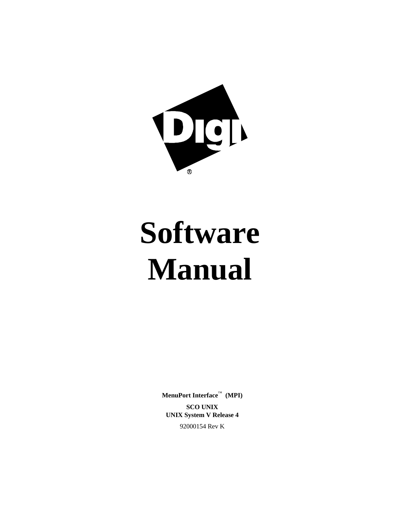

# **Software Manual**

**MenuPort Interface**™ **(MPI) SCO UNIX UNIX System V Release 4**

92000154 Rev K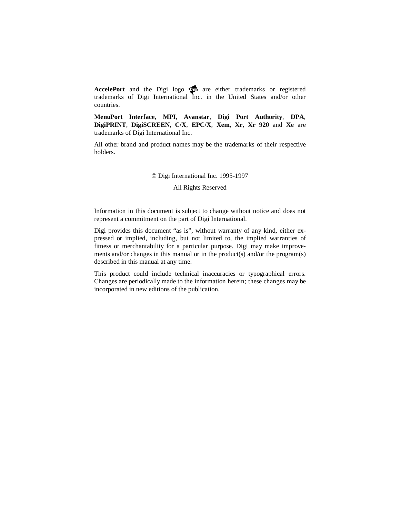AccelePort and the Digi logo **po** are either trademarks or registered trademarks of Digi International Inc. in the United States and/or other countries.

**MenuPort Interface**, **MPI**, **Avanstar**, **Digi Port Authority**, **DPA**, **DigiPRINT**, **DigiSCREEN**, **C/X**, **EPC/X**, **Xem**, **Xr**, **Xr 920** and **Xe** are trademarks of Digi International Inc.

All other brand and product names may be the trademarks of their respective holders.

#### © Digi International Inc. 1995-1997

All Rights Reserved

Information in this document is subject to change without notice and does not represent a commitment on the part of Digi International.

Digi provides this document "as is", without warranty of any kind, either expressed or implied, including, but not limited to, the implied warranties of fitness or merchantability for a particular purpose. Digi may make improvements and/or changes in this manual or in the product(s) and/or the program(s) described in this manual at any time.

This product could include technical inaccuracies or typographical errors. Changes are periodically made to the information herein; these changes may be incorporated in new editions of the publication.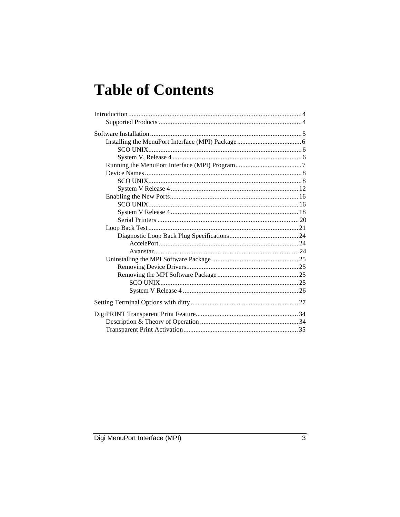# **Table of Contents**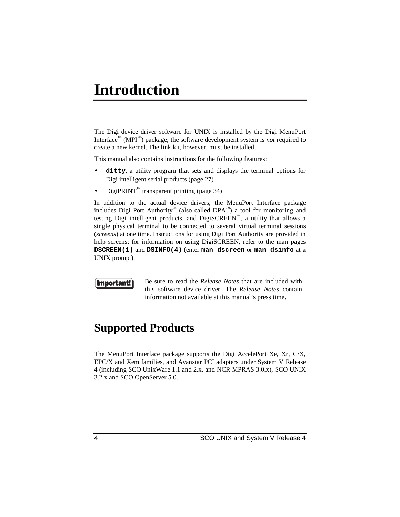# **Introduction**

The Digi device driver software for UNIX is installed by the Digi MenuPort Interface<sup>™</sup> (MPI<sup>™</sup>) package; the software development system is *not* required to create a new kernel. The link kit, however, must be installed.

This manual also contains instructions for the following features:

- **ditty**, a utility program that sets and displays the terminal options for Digi intelligent serial products (page 27)
- $DigitRINT<sup>TM</sup>$  transparent printing (page 34)

In addition to the actual device drivers, the MenuPort Interface package includes Digi Port Authority™ (also called DPA™) a tool for monitoring and testing Digi intelligent products, and DigiSCREEN™, a utility that allows a single physical terminal to be connected to several virtual terminal sessions (*screens*) at one time. Instructions for using Digi Port Authority are provided in help screens; for information on using DigiSCREEN, refer to the man pages **DSCREEN(1)** and **DSINFO(4)** (enter **man dscreen** or **man dsinfo** at a UNIX prompt).

## **Important!**

Be sure to read the *Release Notes* that are included with this software device driver. The *Release Notes* contain information not available at this manual's press time.

## **Supported Products**

The MenuPort Interface package supports the Digi AccelePort Xe, Xr, C/X, EPC/X and Xem families, and Avanstar PCI adapters under System V Release 4 (including SCO UnixWare 1.1 and 2.x, and NCR MPRAS 3.0.x), SCO UNIX 3.2.x and SCO OpenServer 5.0.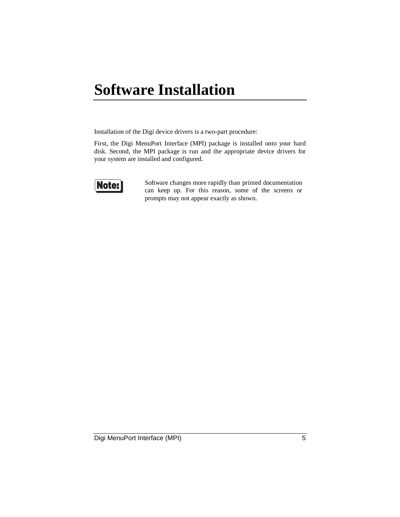# **Software Installation**

Installation of the Digi device drivers is a two-part procedure:

First, the Digi MenuPort Interface (MPI) package is installed onto your hard disk. Second, the MPI package is run and the appropriate device drivers for your system are installed and configured.



Software changes more rapidly than printed documentation can keep up. For this reason, some of the screens or prompts may not appear exactly as shown.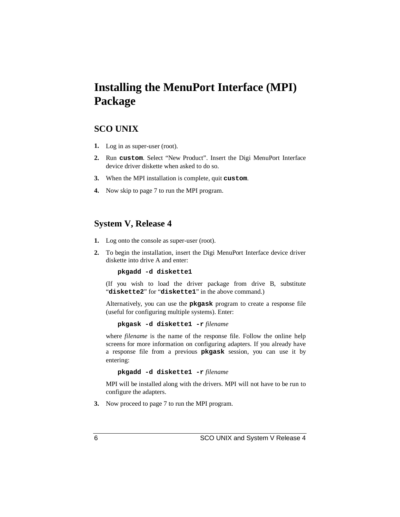# **Installing the MenuPort Interface (MPI) Package**

## **SCO UNIX**

- **1.** Log in as super-user (root).
- **2.** Run **custom**. Select "New Product". Insert the Digi MenuPort Interface device driver diskette when asked to do so.
- **3.** When the MPI installation is complete, quit **custom**.
- **4.** Now skip to page 7 to run the MPI program.

## **System V, Release 4**

- **1.** Log onto the console as super-user (root).
- **2.** To begin the installation, insert the Digi MenuPort Interface device driver diskette into drive A and enter:

**pkgadd -d diskette1**

(If you wish to load the driver package from drive B, substitute "**diskette2**" for "**diskette1**" in the above command.)

Alternatively, you can use the **pkgask** program to create a response file (useful for configuring multiple systems). Enter:

**pkgask -d diskette1 -r** *filename*

where *filename* is the name of the response file. Follow the online help screens for more information on configuring adapters. If you already have a response file from a previous **pkgask** session, you can use it by entering:

**pkgadd -d diskette1 -r** *filename*

MPI will be installed along with the drivers. MPI will not have to be run to configure the adapters.

**3.** Now proceed to page 7 to run the MPI program.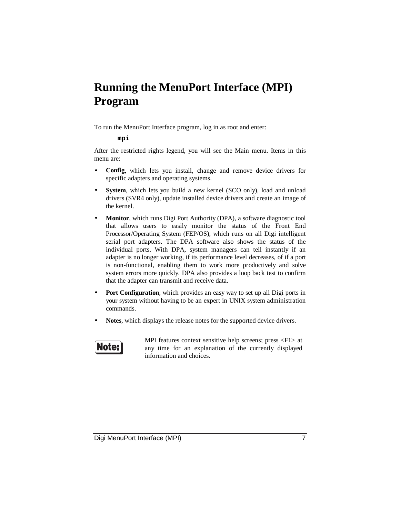# **Running the MenuPort Interface (MPI) Program**

To run the MenuPort Interface program, log in as root and enter:

#### **mpi**

After the restricted rights legend, you will see the Main menu. Items in this menu are:

- **Config**, which lets you install, change and remove device drivers for specific adapters and operating systems.
- **System**, which lets you build a new kernel (SCO only), load and unload drivers (SVR4 only), update installed device drivers and create an image of the kernel.
- **Monitor**, which runs Digi Port Authority (DPA), a software diagnostic tool that allows users to easily monitor the status of the Front End Processor/Operating System (FEP/OS), which runs on all Digi intelligent serial port adapters. The DPA software also shows the status of the individual ports. With DPA, system managers can tell instantly if an adapter is no longer working, if its performance level decreases, of if a port is non-functional, enabling them to work more productively and solve system errors more quickly. DPA also provides a loop back test to confirm that the adapter can transmit and receive data.
- **Port Configuration**, which provides an easy way to set up all Digi ports in your system without having to be an expert in UNIX system administration commands.
- Notes, which displays the release notes for the supported device drivers.

# Note:

MPI features context sensitive help screens; press <F1> at any time for an explanation of the currently displayed information and choices.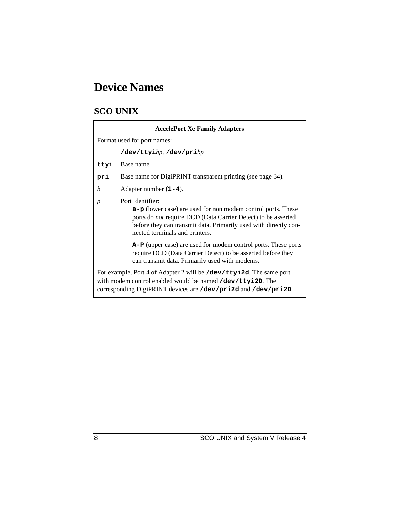# **Device Names**

## **SCO UNIX**

| <b>AccelePort Xe Family Adapters</b>                                                                                                                                                                |                                                                                                                                                                                                                                                           |  |
|-----------------------------------------------------------------------------------------------------------------------------------------------------------------------------------------------------|-----------------------------------------------------------------------------------------------------------------------------------------------------------------------------------------------------------------------------------------------------------|--|
|                                                                                                                                                                                                     | Format used for port names:                                                                                                                                                                                                                               |  |
|                                                                                                                                                                                                     | $/\text{dev/ttyi}$ bp, $/\text{dev/priv}$                                                                                                                                                                                                                 |  |
| ttyi                                                                                                                                                                                                | Base name.                                                                                                                                                                                                                                                |  |
| pri                                                                                                                                                                                                 | Base name for DigiPRINT transparent printing (see page 34).                                                                                                                                                                                               |  |
| b                                                                                                                                                                                                   | Adapter number $(1-4)$ .                                                                                                                                                                                                                                  |  |
| $\boldsymbol{p}$                                                                                                                                                                                    | Port identifier:<br>$a-p$ (lower case) are used for non modem control ports. These<br>ports do not require DCD (Data Carrier Detect) to be asserted<br>before they can transmit data. Primarily used with directly con-<br>nected terminals and printers. |  |
|                                                                                                                                                                                                     | A-P (upper case) are used for modem control ports. These ports<br>require DCD (Data Carrier Detect) to be asserted before they<br>can transmit data. Primarily used with modems.                                                                          |  |
| For example, Port 4 of Adapter 2 will be /dev/ttyi2d. The same port<br>with modem control enabled would be named /dev/ttyi2D. The<br>corresponding DigiPRINT devices are /dev/pri2d and /dev/pri2D. |                                                                                                                                                                                                                                                           |  |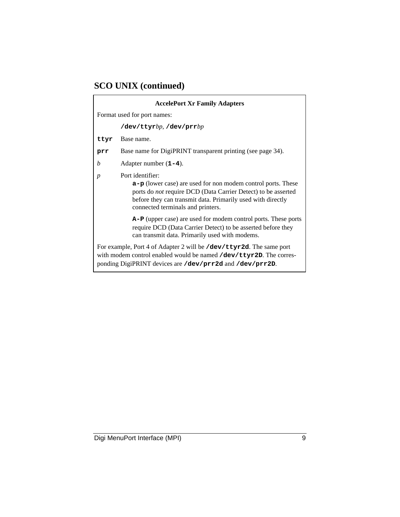## **SCO UNIX (continued)**

 $\blacksquare$ 

| <b>AccelePort Xr Family Adapters</b>                                                                                                                                                       |                                                                                                                                                                                                                                                         |  |
|--------------------------------------------------------------------------------------------------------------------------------------------------------------------------------------------|---------------------------------------------------------------------------------------------------------------------------------------------------------------------------------------------------------------------------------------------------------|--|
|                                                                                                                                                                                            | Format used for port names:                                                                                                                                                                                                                             |  |
|                                                                                                                                                                                            | $/\text{dev/ttyrb}p$ , $/\text{dev/prr}bp$                                                                                                                                                                                                              |  |
| ttyr                                                                                                                                                                                       | Base name.                                                                                                                                                                                                                                              |  |
| prr                                                                                                                                                                                        | Base name for DigiPRINT transparent printing (see page 34).                                                                                                                                                                                             |  |
| b                                                                                                                                                                                          | Adapter number $(1-4)$ .                                                                                                                                                                                                                                |  |
| $\boldsymbol{p}$                                                                                                                                                                           | Port identifier:<br>$a-p$ (lower case) are used for non modem control ports. These<br>ports do not require DCD (Data Carrier Detect) to be asserted<br>before they can transmit data. Primarily used with directly<br>connected terminals and printers. |  |
|                                                                                                                                                                                            | A-P (upper case) are used for modem control ports. These ports<br>require DCD (Data Carrier Detect) to be asserted before they<br>can transmit data. Primarily used with modems.                                                                        |  |
| For example, Port 4 of Adapter 2 will be /dev/ttyr2d. The same port<br>with modem control enabled would be named $\det$ $\det$<br>ponding DigiPRINT devices are /dev/prr2d and /dev/prr2D. |                                                                                                                                                                                                                                                         |  |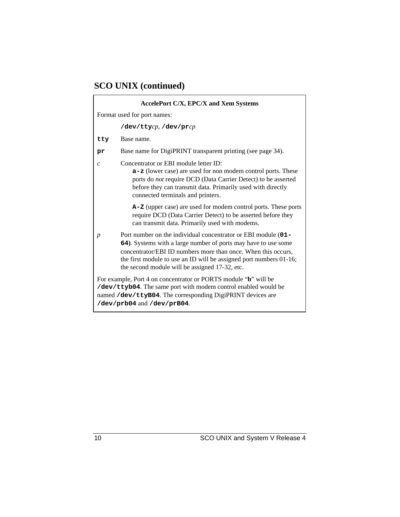# **SCO UNIX (continued)**

 $\mathsf{r}$ 

| <b>AccelePort C/X, EPC/X and Xem Systems</b>                                                                                                                                                                                  |                                                                                                                                                                                                                                                                                                                          |  |  |
|-------------------------------------------------------------------------------------------------------------------------------------------------------------------------------------------------------------------------------|--------------------------------------------------------------------------------------------------------------------------------------------------------------------------------------------------------------------------------------------------------------------------------------------------------------------------|--|--|
|                                                                                                                                                                                                                               | Format used for port names:                                                                                                                                                                                                                                                                                              |  |  |
|                                                                                                                                                                                                                               | $/\text{dev}/\text{tty}$ cp, $/\text{dev}/\text{pr}$ cp                                                                                                                                                                                                                                                                  |  |  |
| tty                                                                                                                                                                                                                           | Base name.                                                                                                                                                                                                                                                                                                               |  |  |
| pr                                                                                                                                                                                                                            | Base name for DigiPRINT transparent printing (see page 34).                                                                                                                                                                                                                                                              |  |  |
| $\mathcal{C}$                                                                                                                                                                                                                 | Concentrator or EBI module letter ID:<br><b>a-z</b> (lower case) are used for non modem control ports. These<br>ports do not require DCD (Data Carrier Detect) to be asserted<br>before they can transmit data. Primarily used with directly<br>connected terminals and printers.                                        |  |  |
|                                                                                                                                                                                                                               | A-Z (upper case) are used for modem control ports. These ports<br>require DCD (Data Carrier Detect) to be asserted before they<br>can transmit data. Primarily used with modems.                                                                                                                                         |  |  |
| p                                                                                                                                                                                                                             | Port number on the individual concentrator or EBI module (01-<br>64). Systems with a large number of ports may have to use some<br>concentrator/EBI ID numbers more than once. When this occurs,<br>the first module to use an ID will be assigned port numbers 01-16;<br>the second module will be assigned 17-32, etc. |  |  |
| For example, Port 4 on concentrator or PORTS module "b" will be<br>/dev/ttyb04. The same port with modem control enabled would be<br>named /dev/ttyB04. The corresponding DigiPRINT devices are<br>/dev/prb04 and /dev/prB04. |                                                                                                                                                                                                                                                                                                                          |  |  |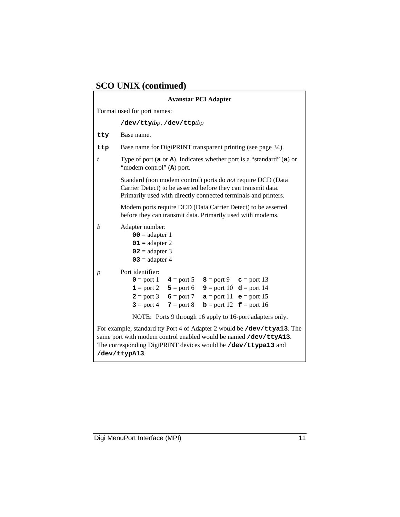# **SCO UNIX (continued)**

|                                                                                                                                                                                                                               | <b>Avanstar PCI Adapter</b>                                                                                                                                                                                                                                                                            |
|-------------------------------------------------------------------------------------------------------------------------------------------------------------------------------------------------------------------------------|--------------------------------------------------------------------------------------------------------------------------------------------------------------------------------------------------------------------------------------------------------------------------------------------------------|
|                                                                                                                                                                                                                               | Format used for port names:                                                                                                                                                                                                                                                                            |
|                                                                                                                                                                                                                               | /dev/ttytbp, /dev/ttptbp                                                                                                                                                                                                                                                                               |
| tty                                                                                                                                                                                                                           | Base name.                                                                                                                                                                                                                                                                                             |
| ttp                                                                                                                                                                                                                           | Base name for DigiPRINT transparent printing (see page 34).                                                                                                                                                                                                                                            |
| t                                                                                                                                                                                                                             | Type of port $(a \text{ or } a)$ . Indicates whether port is a "standard" $(a)$ or<br>"modem control" (A) port.                                                                                                                                                                                        |
|                                                                                                                                                                                                                               | Standard (non modem control) ports do not require DCD (Data<br>Carrier Detect) to be asserted before they can transmit data.<br>Primarily used with directly connected terminals and printers.                                                                                                         |
|                                                                                                                                                                                                                               | Modem ports require DCD (Data Carrier Detect) to be asserted<br>before they can transmit data. Primarily used with modems.                                                                                                                                                                             |
| b                                                                                                                                                                                                                             | Adapter number:<br>$00 =$ adapter 1<br>$01 =$ adapter 2<br>$02$ = adapter 3<br>$03$ = adapter 4                                                                                                                                                                                                        |
| $\boldsymbol{p}$                                                                                                                                                                                                              | Port identifier:<br><b>0</b> = port 1 $4$ = port 5 $8$ = port 9 $c$ = port 13<br>$9 = port 10$<br>$d = port 14$<br>$1 = port 2$ $5 = port 6$<br>$e = port 15$<br><b>2</b> = port 3 <b>6</b> = port 7<br>$a = port 11$<br>$3 =$ port 4<br>$7 =$ port 8<br>$\mathbf{b} =$ port 12 $\mathbf{f} =$ port 16 |
|                                                                                                                                                                                                                               | NOTE: Ports 9 through 16 apply to 16-port adapters only.                                                                                                                                                                                                                                               |
| For example, standard tty Port 4 of Adapter 2 would be /dev/ttya13. The<br>same port with modem control enabled would be named /dev/ttyA13.<br>The corresponding DigiPRINT devices would be /dev/ttypa13 and<br>/dev/ttypA13. |                                                                                                                                                                                                                                                                                                        |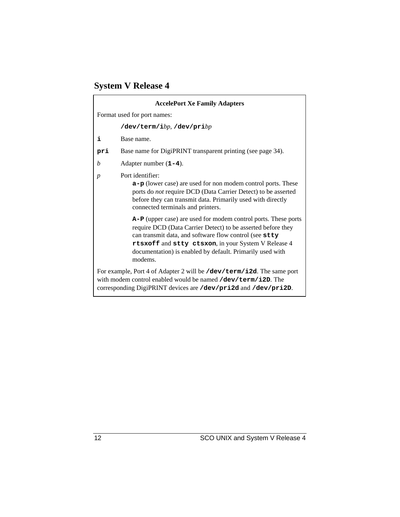# **System V Release 4**

|                                                                                                                                                                                                    | <b>AccelePort Xe Family Adapters</b>                                                                                                                                                                                                                                                                                    |  |
|----------------------------------------------------------------------------------------------------------------------------------------------------------------------------------------------------|-------------------------------------------------------------------------------------------------------------------------------------------------------------------------------------------------------------------------------------------------------------------------------------------------------------------------|--|
|                                                                                                                                                                                                    | Format used for port names:                                                                                                                                                                                                                                                                                             |  |
|                                                                                                                                                                                                    | $/\text{dev/term/}ibp$ , $/\text{dev/print}bp$                                                                                                                                                                                                                                                                          |  |
| i                                                                                                                                                                                                  | Base name.                                                                                                                                                                                                                                                                                                              |  |
| pri                                                                                                                                                                                                | Base name for DigiPRINT transparent printing (see page 34).                                                                                                                                                                                                                                                             |  |
| b                                                                                                                                                                                                  | Adapter number $(1-4)$ .                                                                                                                                                                                                                                                                                                |  |
| $\boldsymbol{p}$                                                                                                                                                                                   | Port identifier:<br>$a-p$ (lower case) are used for non modem control ports. These<br>ports do not require DCD (Data Carrier Detect) to be asserted<br>before they can transmit data. Primarily used with directly<br>connected terminals and printers.                                                                 |  |
|                                                                                                                                                                                                    | A-P (upper case) are used for modem control ports. These ports<br>require DCD (Data Carrier Detect) to be asserted before they<br>can transmit data, and software flow control (see stty<br>rtsxoff and stty ctsxon, in your System V Release 4<br>documentation) is enabled by default. Primarily used with<br>modems. |  |
| For example, Port 4 of Adapter 2 will be /dev/term/i2d. The same port<br>with modem control enabled would be named $\det$ $\det$<br>corresponding DigiPRINT devices are /dev/pri2d and /dev/pri2D. |                                                                                                                                                                                                                                                                                                                         |  |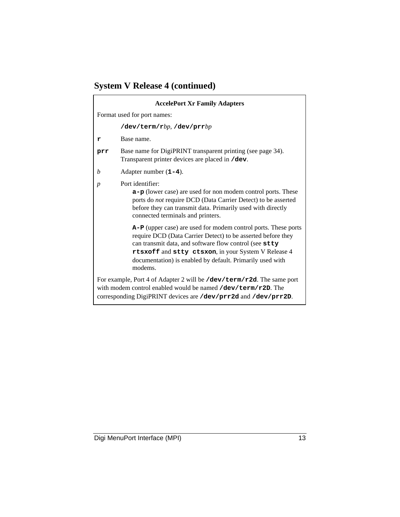# **System V Release 4 (continued)**

 $\mathsf{r}$ 

| <b>AccelePort Xr Family Adapters</b> |                                                                                                                                                                                                                                                                                                                         |  |  |
|--------------------------------------|-------------------------------------------------------------------------------------------------------------------------------------------------------------------------------------------------------------------------------------------------------------------------------------------------------------------------|--|--|
|                                      | Format used for port names:                                                                                                                                                                                                                                                                                             |  |  |
|                                      | $/\texttt{dev/term/rb}p$ , $/\texttt{dev/prrb}p$                                                                                                                                                                                                                                                                        |  |  |
| r                                    | Base name.                                                                                                                                                                                                                                                                                                              |  |  |
| prr                                  | Base name for DigiPRINT transparent printing (see page 34).<br>Transparent printer devices are placed in /dev.                                                                                                                                                                                                          |  |  |
| b                                    | Adapter number $(1-4)$ .                                                                                                                                                                                                                                                                                                |  |  |
| $\boldsymbol{p}$                     | Port identifier:<br>a-p (lower case) are used for non modem control ports. These<br>ports do not require DCD (Data Carrier Detect) to be asserted<br>before they can transmit data. Primarily used with directly<br>connected terminals and printers.                                                                   |  |  |
|                                      | A-P (upper case) are used for modem control ports. These ports<br>require DCD (Data Carrier Detect) to be asserted before they<br>can transmit data, and software flow control (see stty<br>rtsxoff and stty ctsxon, in your System V Release 4<br>documentation) is enabled by default. Primarily used with<br>modems. |  |  |
|                                      | For example, Port 4 of Adapter 2 will be /dev/term/r2d. The same port<br>with modem control enabled would be named /dev/term/r2D. The<br>corresponding DigiPRINT devices are /dev/prr2d and /dev/prr2D.                                                                                                                 |  |  |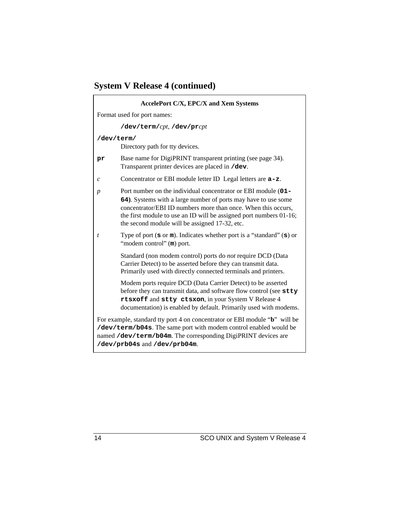# **System V Release 4 (continued)**

|                             | <b>AccelePort C/X, EPC/X and Xem Systems</b>                                                                                                                                                                                                                                                                             |  |
|-----------------------------|--------------------------------------------------------------------------------------------------------------------------------------------------------------------------------------------------------------------------------------------------------------------------------------------------------------------------|--|
| Format used for port names: |                                                                                                                                                                                                                                                                                                                          |  |
|                             | /dev/term/cpt, /dev/prcpt                                                                                                                                                                                                                                                                                                |  |
| /dev/term/                  | Directory path for tty devices.                                                                                                                                                                                                                                                                                          |  |
| pr                          | Base name for DigiPRINT transparent printing (see page 34).<br>Transparent printer devices are placed in /dev.                                                                                                                                                                                                           |  |
| $\boldsymbol{c}$            | Concentrator or EBI module letter ID Legal letters are $a-z$ .                                                                                                                                                                                                                                                           |  |
| $\boldsymbol{p}$            | Port number on the individual concentrator or EBI module (01-<br>64). Systems with a large number of ports may have to use some<br>concentrator/EBI ID numbers more than once. When this occurs,<br>the first module to use an ID will be assigned port numbers 01-16;<br>the second module will be assigned 17-32, etc. |  |
| t                           | Type of port $(s \text{ or } m)$ . Indicates whether port is a "standard" $(s)$ or<br>"modem control" (m) port.                                                                                                                                                                                                          |  |
|                             | Standard (non modem control) ports do not require DCD (Data<br>Carrier Detect) to be asserted before they can transmit data.<br>Primarily used with directly connected terminals and printers.                                                                                                                           |  |
|                             | Modem ports require DCD (Data Carrier Detect) to be asserted<br>before they can transmit data, and software flow control (see stty<br>rtsxoff and stty ctsxon, in your System V Release 4<br>documentation) is enabled by default. Primarily used with modems.                                                           |  |
|                             | For example, standard tty port 4 on concentrator or EBI module "b" will be<br>/dev/term/b04s. The same port with modem control enabled would be<br>named /dev/term/b04m. The corresponding DigiPRINT devices are<br>/dev/prb04s and /dev/prb04m.                                                                         |  |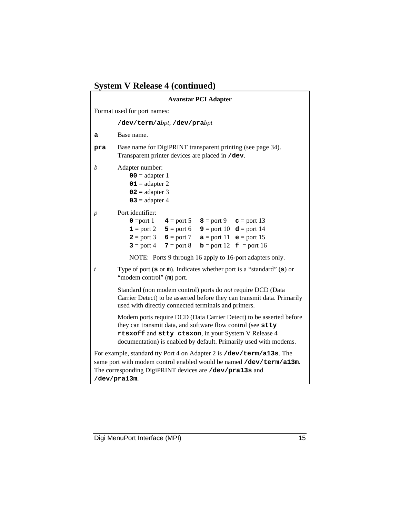|  |  |  | <b>System V Release 4 (continued)</b> |
|--|--|--|---------------------------------------|
|--|--|--|---------------------------------------|

| <b>Avanstar PCI Adapter</b>                                                                                                                                                                                            |                                                                                                                                                                                                                                                                                                                                                                                        |  |  |
|------------------------------------------------------------------------------------------------------------------------------------------------------------------------------------------------------------------------|----------------------------------------------------------------------------------------------------------------------------------------------------------------------------------------------------------------------------------------------------------------------------------------------------------------------------------------------------------------------------------------|--|--|
|                                                                                                                                                                                                                        | Format used for port names:                                                                                                                                                                                                                                                                                                                                                            |  |  |
|                                                                                                                                                                                                                        | /dev/term/abpt, /dev/prabpt                                                                                                                                                                                                                                                                                                                                                            |  |  |
| а                                                                                                                                                                                                                      | Base name.                                                                                                                                                                                                                                                                                                                                                                             |  |  |
| pra                                                                                                                                                                                                                    | Base name for DigiPRINT transparent printing (see page 34).<br>Transparent printer devices are placed in /dev.                                                                                                                                                                                                                                                                         |  |  |
| b                                                                                                                                                                                                                      | Adapter number:<br>$00 = \text{adapter } 1$<br>$01 =$ adapter 2<br>$02 =$ adapter 3<br>$03$ = adapter 4                                                                                                                                                                                                                                                                                |  |  |
| p                                                                                                                                                                                                                      | Port identifier:<br>$0 = port 1$<br>$8 = port 9$<br>$4 =$ port 5<br>$\mathbf{c}$ = port 13<br>$5 =$ port 6<br><b>9</b> = port 10 $d =$ port 14<br>$\mathbf{1} =$ port 2<br>$6 = port 7$<br>$2 = port 3$<br>$a = port 11$ $e = port 15$<br>$3 =$ port 4<br>$7 = port 8$<br>$\mathbf{f}$ = port 16<br>$\mathbf{b} =$ port 12<br>NOTE: Ports 9 through 16 apply to 16-port adapters only. |  |  |
| t                                                                                                                                                                                                                      | Type of port $(s \text{ or } m)$ . Indicates whether port is a "standard" $(s)$ or<br>"modem control" (m) port.                                                                                                                                                                                                                                                                        |  |  |
|                                                                                                                                                                                                                        | Standard (non modem control) ports do not require DCD (Data<br>Carrier Detect) to be asserted before they can transmit data. Primarily<br>used with directly connected terminals and printers.                                                                                                                                                                                         |  |  |
|                                                                                                                                                                                                                        | Modem ports require DCD (Data Carrier Detect) to be asserted before<br>they can transmit data, and software flow control (see stty<br>rtsxoff and stty ctsxon, in your System V Release 4<br>documentation) is enabled by default. Primarily used with modems.                                                                                                                         |  |  |
| For example, standard tty Port 4 on Adapter 2 is /dev/term/a13s. The<br>same port with modem control enabled would be named /dev/term/a13m.<br>The corresponding DigiPRINT devices are /dev/pra13s and<br>/dev/pra13m. |                                                                                                                                                                                                                                                                                                                                                                                        |  |  |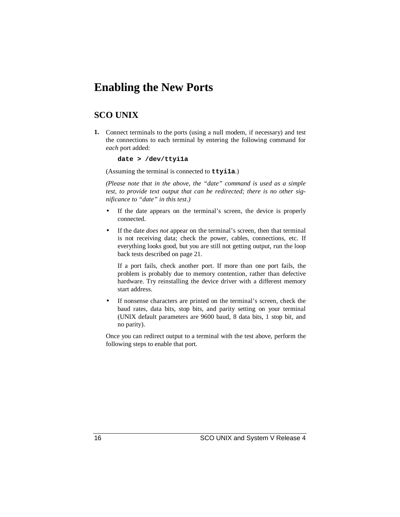## **Enabling the New Ports**

## **SCO UNIX**

**1.** Connect terminals to the ports (using a null modem, if necessary) and test the connections to each terminal by entering the following command for *each* port added:

**date > /dev/ttyi1a**

(Assuming the terminal is connected to **ttyi1a**.)

*(Please note that in the above, the "date" command is used as a simple test, to provide text output that can be redirected; there is no other significance to "date" in this test.)*

- If the date appears on the terminal's screen, the device is properly connected.
- If the date *does not* appear on the terminal's screen, then that terminal is not receiving data; check the power, cables, connections, etc. If everything looks good, but you are still not getting output, run the loop back tests described on page 21.

If a port fails, check another port. If more than one port fails, the problem is probably due to memory contention, rather than defective hardware. Try reinstalling the device driver with a different memory start address.

• If nonsense characters are printed on the terminal's screen, check the baud rates, data bits, stop bits, and parity setting on your terminal (UNIX default parameters are 9600 baud, 8 data bits, 1 stop bit, and no parity).

Once you can redirect output to a terminal with the test above, perform the following steps to enable that port.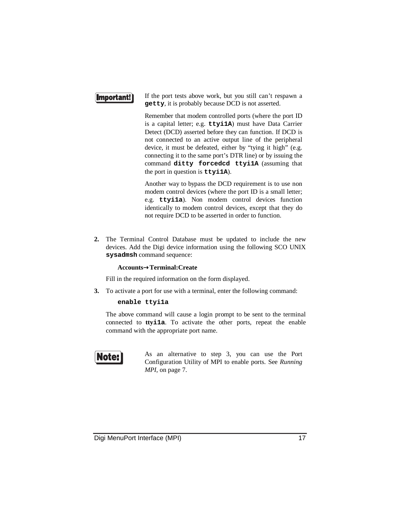## **Important!**

If the port tests above work, but you still can't respawn a **getty**, it is probably because DCD is not asserted.

Remember that modem controlled ports (where the port ID is a capital letter; e.g. **ttyi1A**) must have Data Carrier Detect (DCD) asserted before they can function. If DCD is not connected to an active output line of the peripheral device, it must be defeated, either by "tying it high" (e.g. connecting it to the same port's DTR line) or by issuing the command **ditty forcedcd ttyi1A** (assuming that the port in question is **ttyi1A**).

Another way to bypass the DCD requirement is to use non modem control devices (where the port ID is a small letter; e.g. **ttyi1a**). Non modem control devices function identically to modem control devices, except that they do not require DCD to be asserted in order to function.

**2.** The Terminal Control Database must be updated to include the new devices. Add the Digi device information using the following SCO UNIX **sysadmsh** command sequence:

#### **Accounts**→**Terminal:Create**

Fill in the required information on the form displayed.

**3.** To activate a port for use with a terminal, enter the following command:

#### **enable ttyi1a**

The above command will cause a login prompt to be sent to the terminal connected to **ttyi1a**. To activate the other ports, repeat the enable command with the appropriate port name.



As an alternative to step 3, you can use the Port Configuration Utility of MPI to enable ports. See *Running MPI*, on page 7.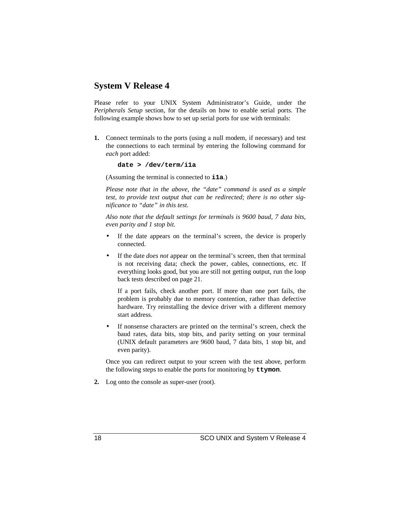## **System V Release 4**

Please refer to your UNIX System Administrator's Guide, under the *Peripherals Setup* section, for the details on how to enable serial ports. The following example shows how to set up serial ports for use with terminals:

**1.** Connect terminals to the ports (using a null modem, if necessary) and test the connections to each terminal by entering the following command for *each* port added:

```
date > /dev/term/i1a
```
(Assuming the terminal is connected to **i1a**.)

*Please note that in the above, the "date" command is used as a simple test, to provide text output that can be redirected; there is no other significance to "date" in this test.*

*Also note that the default settings for terminals is 9600 baud, 7 data bits, even parity and 1 stop bit.*

- If the date appears on the terminal's screen, the device is properly connected.
- If the date *does not* appear on the terminal's screen, then that terminal is not receiving data; check the power, cables, connections, etc. If everything looks good, but you are still not getting output, run the loop back tests described on page 21.

If a port fails, check another port. If more than one port fails, the problem is probably due to memory contention, rather than defective hardware. Try reinstalling the device driver with a different memory start address.

If nonsense characters are printed on the terminal's screen, check the baud rates, data bits, stop bits, and parity setting on your terminal (UNIX default parameters are 9600 baud, 7 data bits, 1 stop bit, and even parity).

Once you can redirect output to your screen with the test above, perform the following steps to enable the ports for monitoring by **ttymon**.

**2.** Log onto the console as super-user (root).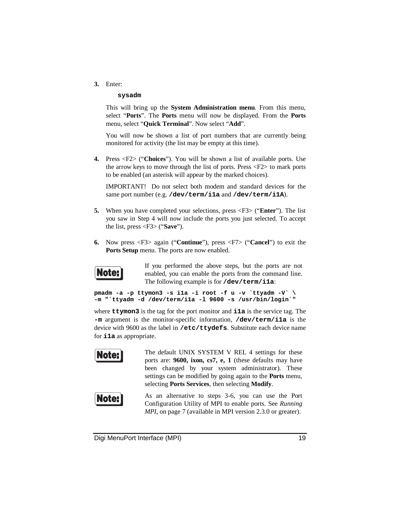**3.** Enter:

#### **sysadm**

This will bring up the **System Administration menu**. From this menu, select "**Ports**". The **Ports** menu will now be displayed. From the **Ports** menu, select "**Quick Terminal**". Now select "**Add**".

You will now be shown a list of port numbers that are currently being monitored for activity (the list may be empty at this time).

**4.** Press <F2> ("**Choices**"). You will be shown a list of available ports. Use the arrow keys to move through the list of ports. Press <F2> to mark ports to be enabled (an asterisk will appear by the marked choices).

IMPORTANT! Do not select both modem and standard devices for the same port number (e.g. **/dev/term/i1a** and **/dev/term/i1A**).

- **5.** When you have completed your selections, press <F3> ("**Enter**"). The list you saw in Step 4 will now include the ports you just selected. To accept the list, press <F3> ("**Save**").
- **6.** Now press <F3> again ("**Continue**"), press <F7> ("**Cancel**") to exit the **Ports Setup** menu. The ports are now enabled.



If you performed the above steps, but the ports are not enabled, you can enable the ports from the command line. The following example is for **/dev/term/i1a**:

**pmadm -a -p ttymon3 -s i1a -i root -f u -v `ttyadm -V` \ -m "`ttyadm -d /dev/term/i1a -l 9600 -s /usr/bin/login`"**

where **ttymon3** is the tag for the port monitor and **i1a** is the service tag. The **-m** argument is the monitor-specific information, **/dev/term/i1a** is the device with 9600 as the label in **/etc/ttydefs**. Substitute each device name for **i1a** as appropriate.



The default UNIX SYSTEM V REL 4 settings for these ports are: **9600, ixon, cs7, e, 1** (these defaults may have been changed by your system administrator). These settings can be modified by going again to the **Ports** menu, selecting **Ports Services**, then selecting **Modify**.



As an alternative to steps 3-6, you can use the Port Configuration Utility of MPI to enable ports. See *Running MPI*, on page 7 (available in MPI version 2.3.0 or greater).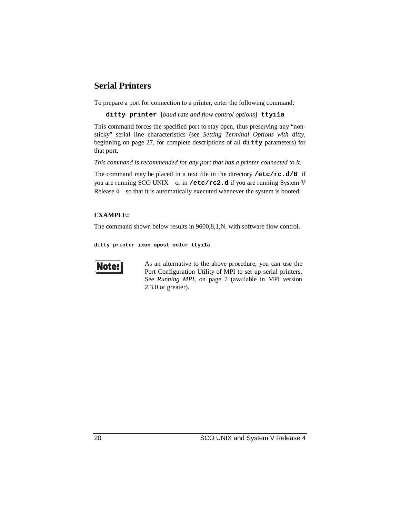## **Serial Printers**

To prepare a port for connection to a printer, enter the following command:

**ditty printer** [*baud rate and flow control options*] **ttyi1a**

This command forces the specified port to stay open, thus preserving any "nonsticky" serial line characteristics (see *Setting Terminal Options with ditty*, beginning on page 27, for complete descriptions of all **ditty** parameters) for that port.

*This command is recommended for any port that has a printer connected to it.*

The command may be placed in a text file in the directory **/etc/rc.d/8** if you are running SCO UNIX-or in /etc/rc2.d if you are running System V Release 4—so that it is automatically executed whenever the system is booted.

### **EXAMPLE:**

The command shown below results in 9600,8,1,N, with software flow control.

**ditty printer ixon opost onlcr ttyi1a**



As an alternative to the above procedure, you can use the Port Configuration Utility of MPI to set up serial printers. See *Running MPI*, on page 7 (available in MPI version 2.3.0 or greater).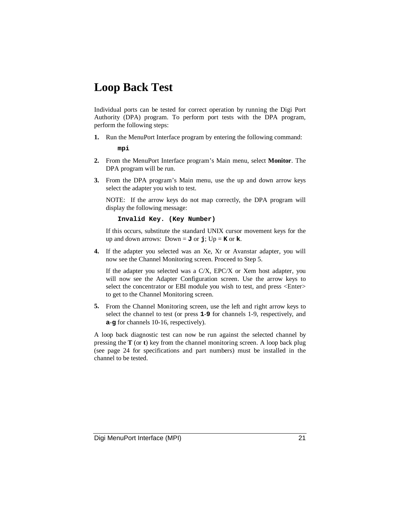# **Loop Back Test**

Individual ports can be tested for correct operation by running the Digi Port Authority (DPA) program. To perform port tests with the DPA program, perform the following steps:

**1.** Run the MenuPort Interface program by entering the following command:

**mpi**

- **2.** From the MenuPort Interface program's Main menu, select **Monitor**. The DPA program will be run.
- **3.** From the DPA program's Main menu, use the up and down arrow keys select the adapter you wish to test.

NOTE: If the arrow keys do not map correctly, the DPA program will display the following message:

#### **Invalid Key. (Key Number)**

If this occurs, substitute the standard UNIX cursor movement keys for the up and down arrows: Down =  $J$  or  $j$ ; Up =  $K$  or  $k$ .

**4.** If the adapter you selected was an Xe, Xr or Avanstar adapter, you will now see the Channel Monitoring screen. Proceed to Step 5.

If the adapter you selected was a C/X, EPC/X or Xem host adapter, you will now see the Adapter Configuration screen. Use the arrow keys to select the concentrator or EBI module you wish to test, and press <Enter> to get to the Channel Monitoring screen.

**5.** From the Channel Monitoring screen, use the left and right arrow keys to select the channel to test (or press **1**-**9** for channels 1-9, respectively, and **a**-**g** for channels 10-16, respectively).

A loop back diagnostic test can now be run against the selected channel by pressing the **T** (or **t**) key from the channel monitoring screen. A loop back plug (see page 24 for specifications and part numbers) must be installed in the channel to be tested.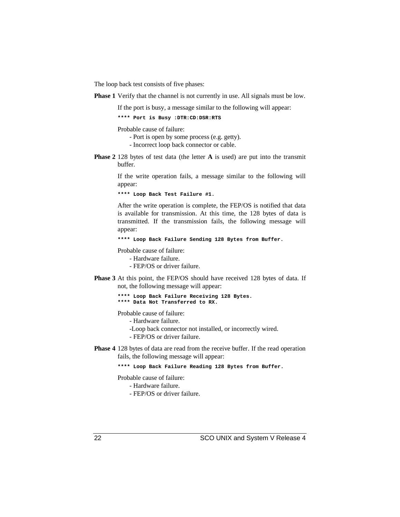The loop back test consists of five phases:

**Phase 1** Verify that the channel is not currently in use. All signals must be low.

If the port is busy, a message similar to the following will appear:

**\*\*\*\* Port is Busy :DTR:CD:DSR:RTS**

Probable cause of failure:

- Port is open by some process (e.g. getty).
- Incorrect loop back connector or cable.
- **Phase 2** 128 bytes of test data (the letter **A** is used) are put into the transmit buffer.

If the write operation fails, a message similar to the following will appear:

**\*\*\*\* Loop Back Test Failure #1.**

After the write operation is complete, the FEP/OS is notified that data is available for transmission. At this time, the 128 bytes of data is transmitted. If the transmission fails, the following message will appear:

**\*\*\*\* Loop Back Failure Sending 128 Bytes from Buffer.**

Probable cause of failure:

- Hardware failure.

- FEP/OS or driver failure.

**Phase 3** At this point, the FEP/OS should have received 128 bytes of data. If not, the following message will appear:

> **\*\*\*\* Loop Back Failure Receiving 128 Bytes. \*\*\*\* Data Not Transferred to RX.**

Probable cause of failure:

- Hardware failure.

- -Loop back connector not installed, or incorrectly wired.
- FEP/OS or driver failure.
- **Phase 4** 128 bytes of data are read from the receive buffer. If the read operation fails, the following message will appear:

**\*\*\*\* Loop Back Failure Reading 128 Bytes from Buffer.**

Probable cause of failure:

- Hardware failure.

- FEP/OS or driver failure.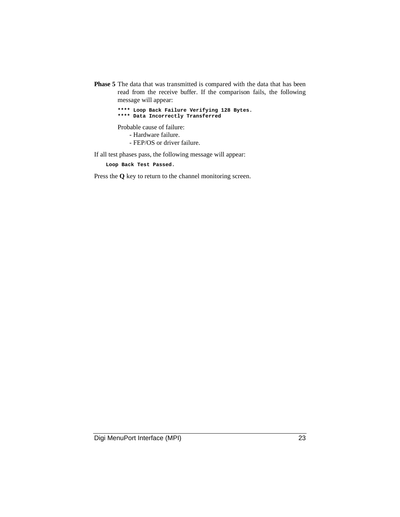**Phase 5** The data that was transmitted is compared with the data that has been read from the receive buffer. If the comparison fails, the following message will appear:

> **\*\*\*\* Loop Back Failure Verifying 128 Bytes. \*\*\*\* Data Incorrectly Transferred**

Probable cause of failure:

- Hardware failure.

- FEP/OS or driver failure.

If all test phases pass, the following message will appear:

**Loop Back Test Passed.**

Press the **Q** key to return to the channel monitoring screen.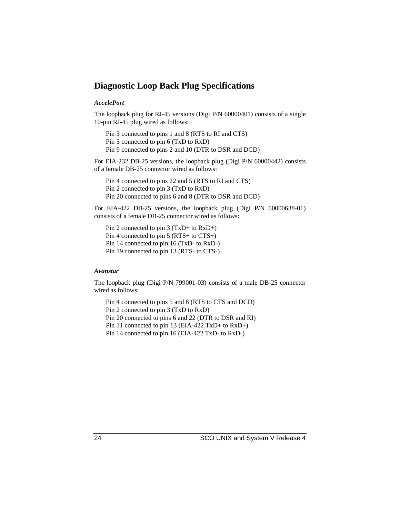## **Diagnostic Loop Back Plug Specifications**

#### *AccelePort*

The loopback plug for RJ-45 versions (Digi P/N 60000401) consists of a single 10-pin RJ-45 plug wired as follows:

Pin 3 connected to pins 1 and 8 (RTS to RI and CTS) Pin 5 connected to pin 6 (TxD to RxD)

Pin 9 connected to pins 2 and 10 (DTR to DSR and DCD)

For EIA-232 DB-25 versions, the loopback plug (Digi P/N 60000442) consists of a female DB-25 connector wired as follows:

Pin 4 connected to pins 22 and 5 (RTS to RI and CTS) Pin 2 connected to pin 3 (TxD to RxD) Pin 20 connected to pins 6 and 8 (DTR to DSR and DCD)

For EIA-422 DB-25 versions, the loopback plug (Digi P/N 60000638-01) consists of a female DB-25 connector wired as follows:

Pin 2 connected to pin 3 (TxD+ to RxD+) Pin 4 connected to pin 5 (RTS+ to CTS+) Pin 14 connected to pin 16 (TxD- to RxD-) Pin 19 connected to pin 13 (RTS- to CTS-)

#### *Avanstar*

The loopback plug (Digi P/N 799001-03) consists of a male DB-25 connector wired as follows:

Pin 4 connected to pins 5 and 8 (RTS to CTS and DCD) Pin 2 connected to pin 3 (TxD to RxD) Pin 20 connected to pins 6 and 22 (DTR to DSR and RI) Pin 11 connected to pin 13 (EIA-422 TxD+ to RxD+) Pin 14 connected to pin 16 (EIA-422 TxD- to RxD-)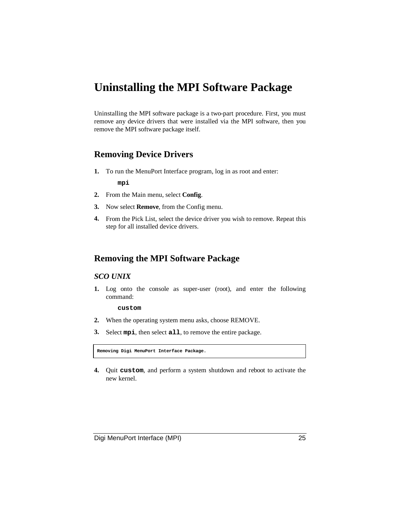## **Uninstalling the MPI Software Package**

Uninstalling the MPI software package is a two-part procedure. First, you must remove any device drivers that were installed via the MPI software, then you remove the MPI software package itself.

## **Removing Device Drivers**

- **1.** To run the MenuPort Interface program, log in as root and enter: **mpi**
- **2.** From the Main menu, select **Config**.
- **3.** Now select **Remove**, from the Config menu.
- **4.** From the Pick List, select the device driver you wish to remove. Repeat this step for all installed device drivers.

## **Removing the MPI Software Package**

## *SCO UNIX*

**1.** Log onto the console as super-user (root), and enter the following command:

**custom**

- **2.** When the operating system menu asks, choose REMOVE.
- **3.** Select **mpi**, then select **all**, to remove the entire package.

**Removing Digi MenuPort Interface Package.**

**4.** Quit **custom**, and perform a system shutdown and reboot to activate the new kernel.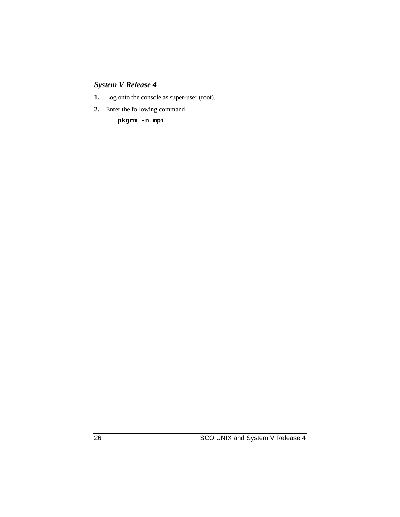## *System V Release 4*

- **1.** Log onto the console as super-user (root).
- **2.** Enter the following command:

**pkgrm -n mpi**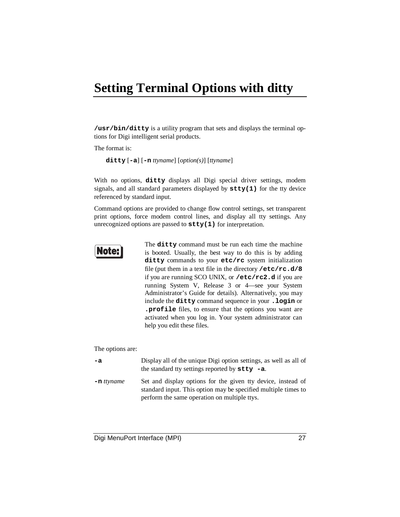# **Setting Terminal Options with ditty**

**/usr/bin/ditty** is a utility program that sets and displays the terminal options for Digi intelligent serial products.

The format is:

**ditty** [**-a**] [**-n** *ttyname*] [*option(s)*] [*ttyname*]

With no options, **ditty** displays all Digi special driver settings, modem signals, and all standard parameters displayed by **stty(1)** for the tty device referenced by standard input.

Command options are provided to change flow control settings, set transparent print options, force modem control lines, and display all tty settings. Any unrecognized options are passed to **stty(1)** for interpretation.



The **ditty** command must be run each time the machine is booted. Usually, the best way to do this is by adding **ditty** commands to your **etc/rc** system initialization file (put them in a text file in the directory **/etc/rc.d/8** if you are running SCO UNIX, or **/etc/rc2.d** if you are running System V, Release 3 or 4—see your System Administrator's Guide for details). Alternatively, you may include the **ditty** command sequence in your **.login** or **.profile** files, to ensure that the options you want are activated when you log in. Your system administrator can help you edit these files.

The options are:

| -a            | Display all of the unique Digi option settings, as well as all of<br>the standard tty settings reported by $\texttt{stty}$ -a.                                                 |
|---------------|--------------------------------------------------------------------------------------------------------------------------------------------------------------------------------|
| $-$ n ttyname | Set and display options for the given tty device, instead of<br>standard input. This option may be specified multiple times to<br>perform the same operation on multiple ttys. |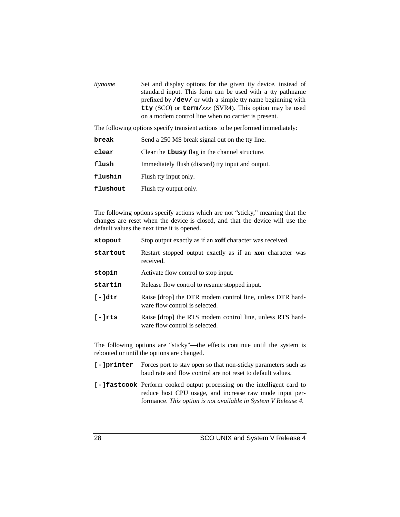| ttyname | Set and display options for the given tty device, instead of       |
|---------|--------------------------------------------------------------------|
|         | standard input. This form can be used with a tty pathname          |
|         | prefixed by <b>/dev</b> / or with a simple tty name beginning with |
|         | tty (SCO) or term/xxx (SVR4). This option may be used              |
|         | on a modem control line when no carrier is present.                |

The following options specify transient actions to be performed immediately:

| break    | Send a 250 MS break signal out on the tty line.       |
|----------|-------------------------------------------------------|
| clear    | Clear the <b>thesy</b> flag in the channel structure. |
| flush    | Immediately flush (discard) tty input and output.     |
| flushin  | Flush tty input only.                                 |
| flushout | Flush tty output only.                                |

The following options specify actions which are not "sticky," meaning that the changes are reset when the device is closed, and that the device will use the default values the next time it is opened.

| Stop output exactly as if an <b>xoff</b> character was received.                            |  |  |
|---------------------------------------------------------------------------------------------|--|--|
| Restart stopped output exactly as if an <b>xon</b> character was<br>received.               |  |  |
| Activate flow control to stop input.                                                        |  |  |
| Release flow control to resume stopped input.                                               |  |  |
| Raise [drop] the DTR modem control line, unless DTR hard-<br>ware flow control is selected. |  |  |
| Raise [drop] the RTS modem control line, unless RTS hard-<br>ware flow control is selected. |  |  |
|                                                                                             |  |  |

The following options are "sticky"—the effects continue until the system is rebooted or until the options are changed.

- **[-]printer** Forces port to stay open so that non-sticky parameters such as baud rate and flow control are not reset to default values.
- **[-]fastcook** Perform cooked output processing on the intelligent card to reduce host CPU usage, and increase raw mode input performance. *This option is not available in System V Release 4.*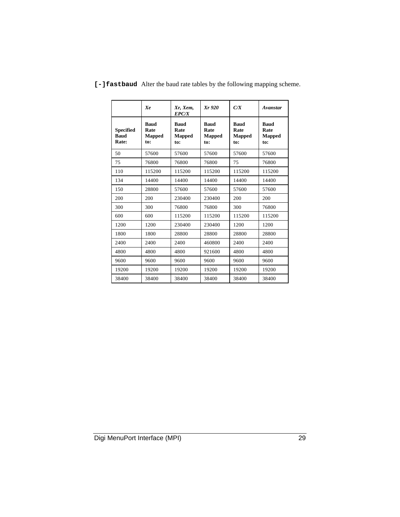|                                          | Xe                                          | Xr, Xem,<br><b>EPC/X</b>             | Xr 920                                      | C/X                                         | Avanstar                                    |
|------------------------------------------|---------------------------------------------|--------------------------------------|---------------------------------------------|---------------------------------------------|---------------------------------------------|
| <b>Specified</b><br><b>Baud</b><br>Rate: | <b>Baud</b><br>Rate<br><b>Mapped</b><br>to: | <b>Baud</b><br>Rate<br>Mapped<br>to: | <b>Baud</b><br>Rate<br><b>Mapped</b><br>to: | <b>Baud</b><br>Rate<br><b>Mapped</b><br>to: | <b>Baud</b><br>Rate<br><b>Mapped</b><br>to: |
| 50                                       | 57600                                       | 57600                                | 57600                                       | 57600                                       | 57600                                       |
| 75                                       | 76800                                       | 76800                                | 76800                                       | 75                                          | 76800                                       |
| 110                                      | 115200                                      | 115200                               | 115200                                      | 115200                                      | 115200                                      |
| 134                                      | 14400                                       | 14400                                | 14400                                       | 14400                                       | 14400                                       |
| 150                                      | 28800                                       | 57600                                | 57600                                       | 57600                                       | 57600                                       |
| 200                                      | 200                                         | 230400                               | 230400                                      | 200                                         | 200                                         |
| 300                                      | 300                                         | 76800                                | 76800                                       | 300                                         | 76800                                       |
| 600                                      | 600                                         | 115200                               | 115200                                      | 115200                                      | 115200                                      |
| 1200                                     | 1200                                        | 230400                               | 230400                                      | 1200                                        | 1200                                        |
| 1800                                     | 1800                                        | 28800                                | 28800                                       | 28800                                       | 28800                                       |
| 2400                                     | 2400                                        | 2400                                 | 460800                                      | 2400                                        | 2400                                        |
| 4800                                     | 4800                                        | 4800                                 | 921600                                      | 4800                                        | 4800                                        |
| 9600                                     | 9600                                        | 9600                                 | 9600                                        | 9600                                        | 9600                                        |
| 19200                                    | 19200                                       | 19200                                | 19200                                       | 19200                                       | 19200                                       |
| 38400                                    | 38400                                       | 38400                                | 38400                                       | 38400                                       | 38400                                       |

**[-]fastbaud** Alter the baud rate tables by the following mapping scheme.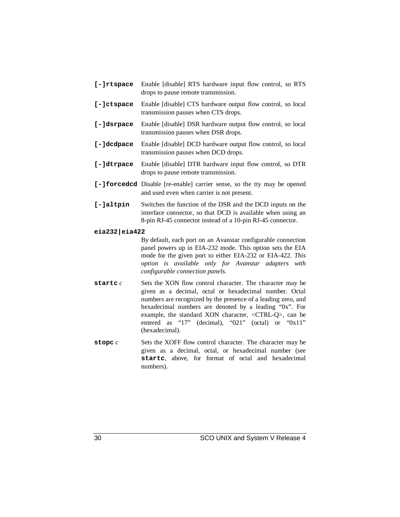| [-]rtspace     | Enable [disable] RTS hardware input flow control, so RTS<br>drops to pause remote transmission.                                                                                                                                                                                                                                                                                            |  |  |  |
|----------------|--------------------------------------------------------------------------------------------------------------------------------------------------------------------------------------------------------------------------------------------------------------------------------------------------------------------------------------------------------------------------------------------|--|--|--|
| $[-]ctspace$   | Enable [disable] CTS hardware output flow control, so local<br>transmission pauses when CTS drops.                                                                                                                                                                                                                                                                                         |  |  |  |
| [-]dsrpace     | Enable [disable] DSR hardware output flow control, so local<br>transmission pauses when DSR drops.                                                                                                                                                                                                                                                                                         |  |  |  |
| [-]dcdpace     | Enable [disable] DCD hardware output flow control, so local<br>transmission pauses when DCD drops.                                                                                                                                                                                                                                                                                         |  |  |  |
| [-]dtrpace     | Enable [disable] DTR hardware input flow control, so DTR<br>drops to pause remote transmission.                                                                                                                                                                                                                                                                                            |  |  |  |
|                | [-] forced cd Disable [re-enable] carrier sense, so the tty may be opened<br>and used even when carrier is not present.                                                                                                                                                                                                                                                                    |  |  |  |
| [-]altpin      | Switches the function of the DSR and the DCD inputs on the<br>interface connector, so that DCD is available when using an<br>8-pin RJ-45 connector instead of a 10-pin RJ-45 connector.                                                                                                                                                                                                    |  |  |  |
| eia232 eia422  |                                                                                                                                                                                                                                                                                                                                                                                            |  |  |  |
|                | By default, each port on an Avanstar configurable connection<br>panel powers up in EIA-232 mode. This option sets the EIA<br>mode for the given port to either EIA-232 or EIA-422. This<br>option is available only for Avanstar adapters with<br>configurable connection panels.                                                                                                          |  |  |  |
| startc $\it c$ | Sets the XON flow control character. The character may be<br>given as a decimal, octal or hexadecimal number. Octal<br>numbers are recognized by the presence of a leading zero, and<br>hexadecimal numbers are denoted by a leading "0x". For<br>example, the standard XON character, <ctrl-q>, can be<br/>entered as "17" (decimal), "021" (octal) or "0x11"<br/>(hexadecimal).</ctrl-q> |  |  |  |

**stopc** *c* Sets the XOFF flow control character. The character may be given as a decimal, octal, or hexadecimal number (see **startc**, above, for format of octal and hexadecimal numbers).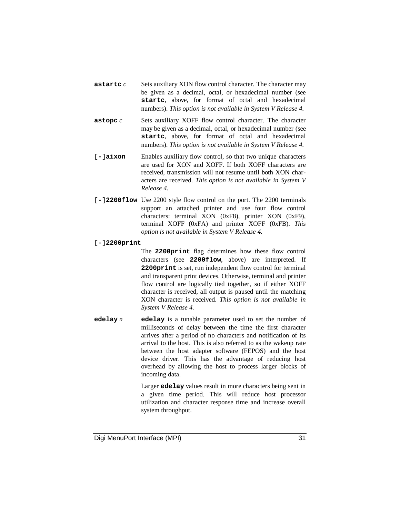- **astartc** *c* Sets auxiliary XON flow control character. The character may be given as a decimal, octal, or hexadecimal number (see **startc**, above, for format of octal and hexadecimal numbers). *This option is not available in System V Release 4.*
- **astopc** *c* Sets auxiliary XOFF flow control character. The character may be given as a decimal, octal, or hexadecimal number (see **startc**, above, for format of octal and hexadecimal numbers). *This option is not available in System V Release 4.*
- **[-]aixon** Enables auxiliary flow control, so that two unique characters are used for XON and XOFF. If both XOFF characters are received, transmission will not resume until both XON characters are received. *This option is not available in System V Release 4.*
- **[-]2200flow** Use 2200 style flow control on the port. The 2200 terminals support an attached printer and use four flow control characters: terminal XON (0xF8), printer XON (0xF9), terminal XOFF (0xFA) and printer XOFF (0xFB). *This option is not available in System V Release 4.*

#### **[-]2200print**

The **2200print** flag determines how these flow control characters (see **2200flow**, above) are interpreted. If **2200print** is set, run independent flow control for terminal and transparent print devices. Otherwise, terminal and printer flow control are logically tied together, so if either XOFF character is received, all output is paused until the matching XON character is received. *This option is not available in System V Release 4.*

**edelay** *n* **edelay** is a tunable parameter used to set the number of milliseconds of delay between the time the first character arrives after a period of no characters and notification of its arrival to the host. This is also referred to as the wakeup rate between the host adapter software (FEPOS) and the host device driver. This has the advantage of reducing host overhead by allowing the host to process larger blocks of incoming data.

> Larger **edelay** values result in more characters being sent in a given time period. This will reduce host processor utilization and character response time and increase overall system throughput.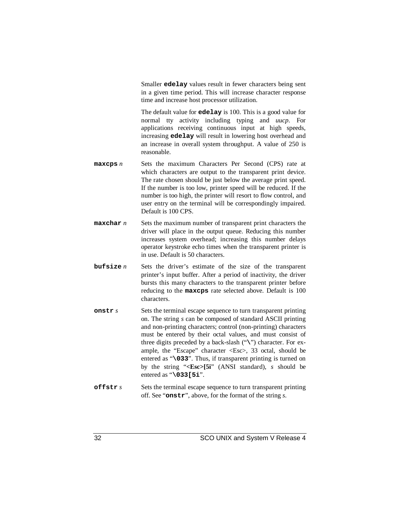Smaller **edelay** values result in fewer characters being sent in a given time period. This will increase character response time and increase host processor utilization.

The default value for **edelay** is 100. This is a good value for normal tty activity including typing and *uucp*. For applications receiving continuous input at high speeds, increasing **edelay** will result in lowering host overhead and an increase in overall system throughput. A value of 250 is reasonable.

- **maxcps** *n* Sets the maximum Characters Per Second (CPS) rate at which characters are output to the transparent print device. The rate chosen should be just below the average print speed. If the number is too low, printer speed will be reduced. If the number is too high, the printer will resort to flow control, and user entry on the terminal will be correspondingly impaired. Default is 100 CPS.
- **maxchar** *n* Sets the maximum number of transparent print characters the driver will place in the output queue. Reducing this number increases system overhead; increasing this number delays operator keystroke echo times when the transparent printer is in use. Default is 50 characters.
- **bufsize** *n* Sets the driver's estimate of the size of the transparent printer's input buffer. After a period of inactivity, the driver bursts this many characters to the transparent printer before reducing to the **maxcps** rate selected above. Default is 100 characters.
- **onstr** *s* Sets the terminal escape sequence to turn transparent printing on. The string *s* can be composed of standard ASCII printing and non-printing characters; control (non-printing) characters must be entered by their octal values, and must consist of three digits preceded by a back-slash ("**\**") character. For example, the "Escape" character <Esc>, 33 octal, should be entered as "**\033**". Thus, if transparent printing is turned on by the string "**<Esc>[5i**" (ANSI standard), *s* should be entered as "**\033[5i**".
- **offstr** *s* Sets the terminal escape sequence to turn transparent printing off. See "**onstr**", above, for the format of the string *s*.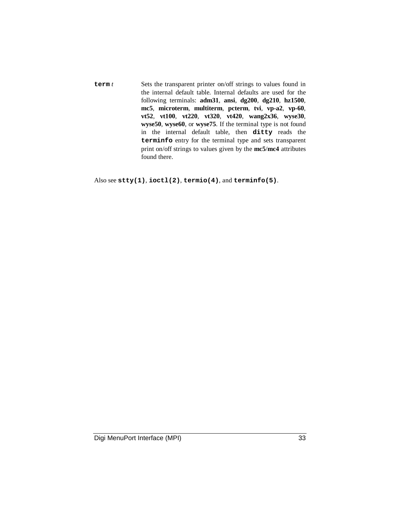**term** *t* Sets the transparent printer on/off strings to values found in the internal default table. Internal defaults are used for the following terminals: **adm31**, **ansi**, **dg200**, **dg210**, **hz1500**, **mc5**, **microterm**, **multiterm**, **pcterm**, **tvi**, **vp-a2**, **vp-60**, **vt52**, **vt100**, **vt220**, **vt320**, **vt420**, **wang2x36**, **wyse30**, **wyse50**, **wyse60**, or **wyse75**. If the terminal type is not found in the internal default table, then **ditty** reads the **terminfo** entry for the terminal type and sets transparent print on/off strings to values given by the **mc5**/**mc4** attributes found there.

Also see **stty(1)**, **ioctl(2)**, **termio(4)**, and **terminfo(5)**.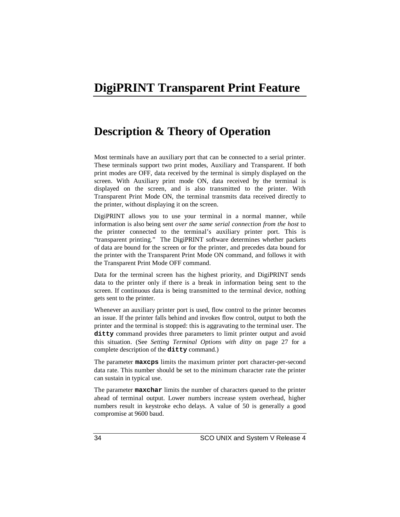## **DigiPRINT Transparent Print Feature**

## **Description & Theory of Operation**

Most terminals have an auxiliary port that can be connected to a serial printer. These terminals support two print modes, Auxiliary and Transparent. If both print modes are OFF, data received by the terminal is simply displayed on the screen. With Auxiliary print mode ON, data received by the terminal is displayed on the screen, and is also transmitted to the printer. With Transparent Print Mode ON, the terminal transmits data received directly to the printer, without displaying it on the screen.

DigiPRINT allows you to use your terminal in a normal manner, while information is also being sent *over the same serial connection from the host* to the printer connected to the terminal's auxiliary printer port. This is "transparent printing." The DigiPRINT software determines whether packets of data are bound for the screen or for the printer, and precedes data bound for the printer with the Transparent Print Mode ON command, and follows it with the Transparent Print Mode OFF command.

Data for the terminal screen has the highest priority, and DigiPRINT sends data to the printer only if there is a break in information being sent to the screen. If continuous data is being transmitted to the terminal device, nothing gets sent to the printer.

Whenever an auxiliary printer port is used, flow control to the printer becomes an issue. If the printer falls behind and invokes flow control, output to both the printer and the terminal is stopped: this is aggravating to the terminal user. The **ditty** command provides three parameters to limit printer output and avoid this situation. (See *Setting Terminal Options with ditty* on page 27 for a complete description of the **ditty** command.)

The parameter **maxcps** limits the maximum printer port character-per-second data rate. This number should be set to the minimum character rate the printer can sustain in typical use.

The parameter **maxchar** limits the number of characters queued to the printer ahead of terminal output. Lower numbers increase system overhead, higher numbers result in keystroke echo delays. A value of 50 is generally a good compromise at 9600 baud.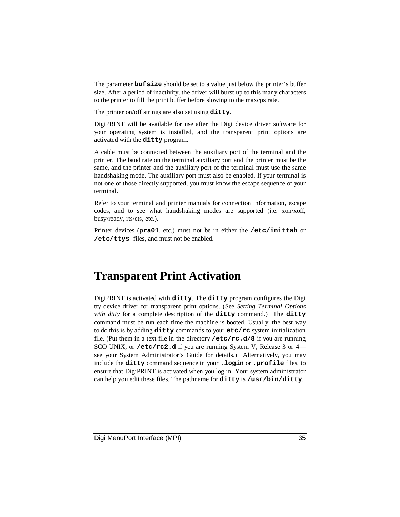The parameter **bufsize** should be set to a value just below the printer's buffer size. After a period of inactivity, the driver will burst up to this many characters to the printer to fill the print buffer before slowing to the maxcps rate.

The printer on/off strings are also set using **ditty**.

DigiPRINT will be available for use after the Digi device driver software for your operating system is installed, and the transparent print options are activated with the **ditty** program.

A cable must be connected between the auxiliary port of the terminal and the printer. The baud rate on the terminal auxiliary port and the printer must be the same, and the printer and the auxiliary port of the terminal must use the same handshaking mode. The auxiliary port must also be enabled. If your terminal is not one of those directly supported, you must know the escape sequence of your terminal.

Refer to your terminal and printer manuals for connection information, escape codes, and to see what handshaking modes are supported (i.e. xon/xoff, busy/ready, rts/cts, etc.).

Printer devices (**pra01**, etc.) must not be in either the **/etc/inittab** or **/etc/ttys** files, and must not be enabled.

## **Transparent Print Activation**

DigiPRINT is activated with **ditty**. The **ditty** program configures the Digi tty device driver for transparent print options. (See *Setting Terminal Options with ditty* for a complete description of the **ditty** command.) The **ditty** command must be run each time the machine is booted. Usually, the best way to do this is by adding **ditty** commands to your **etc/rc** system initialization file. (Put them in a text file in the directory **/etc/rc.d/8** if you are running SCO UNIX, or **/etc/rc2.d** if you are running System V, Release 3 or 4 see your System Administrator's Guide for details.) Alternatively, you may include the **ditty** command sequence in your **.login** or **.profile** files, to ensure that DigiPRINT is activated when you log in. Your system administrator can help you edit these files. The pathname for **ditty** is **/usr/bin/ditty**.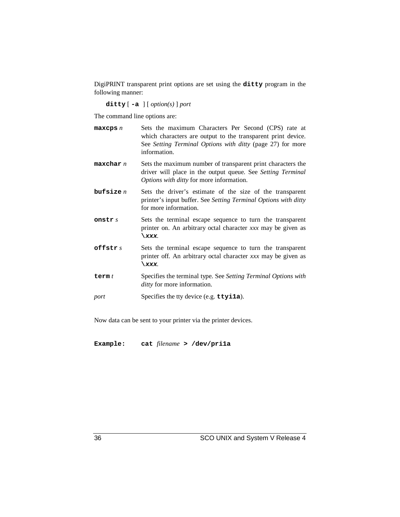DigiPRINT transparent print options are set using the **ditty** program in the following manner:

**ditty** [ **-a** ] [ *option(s)* ] *port*

The command line options are:

- **maxcps** *n* Sets the maximum Characters Per Second (CPS) rate at which characters are output to the transparent print device. See *Setting Terminal Options with ditty* (page 27) for more information.
- **maxchar** *n* Sets the maximum number of transparent print characters the driver will place in the output queue. See *Setting Terminal Options with ditty* for more information.
- **bufsize** *n* Sets the driver's estimate of the size of the transparent printer's input buffer. See *Setting Terminal Options with ditty* for more information.
- **onstr** *s* Sets the terminal escape sequence to turn the transparent printer on. An arbitrary octal character *xxx* may be given as **\xxx**.
- **offstr** *s* Sets the terminal escape sequence to turn the transparent printer off. An arbitrary octal character *xxx* may be given as **\xxx**.
- **term** *t* Specifies the terminal type. See *Setting Terminal Options with ditty* for more information.
- *port* Specifies the tty device (e.g. **ttyi1a**).

Now data can be sent to your printer via the printer devices.

**Example: cat** *filename* **> /dev/pri1a**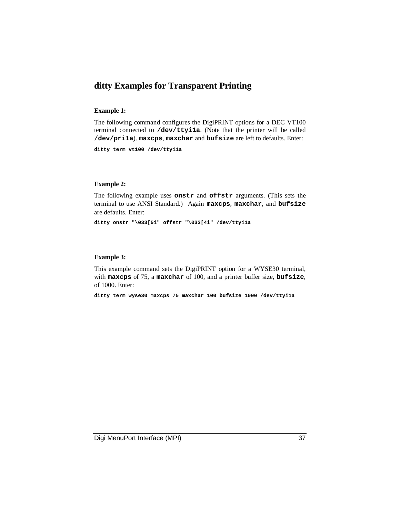## **ditty Examples for Transparent Printing**

## **Example 1:**

The following command configures the DigiPRINT options for a DEC VT100 terminal connected to **/dev/ttyi1a**. (Note that the printer will be called **/dev/pri1a**). **maxcps**, **maxchar** and **bufsize** are left to defaults. Enter:

**ditty term vt100 /dev/ttyi1a**

#### **Example 2:**

The following example uses **onstr** and **offstr** arguments. (This sets the terminal to use ANSI Standard.) Again **maxcps**, **maxchar**, and **bufsize** are defaults. Enter:

**ditty onstr "\033[5i" offstr "\033[4i" /dev/ttyi1a**

### **Example 3:**

This example command sets the DigiPRINT option for a WYSE30 terminal, with **maxcps** of 75, a **maxchar** of 100, and a printer buffer size, **bufsize**, of 1000. Enter:

**ditty term wyse30 maxcps 75 maxchar 100 bufsize 1000 /dev/ttyi1a**